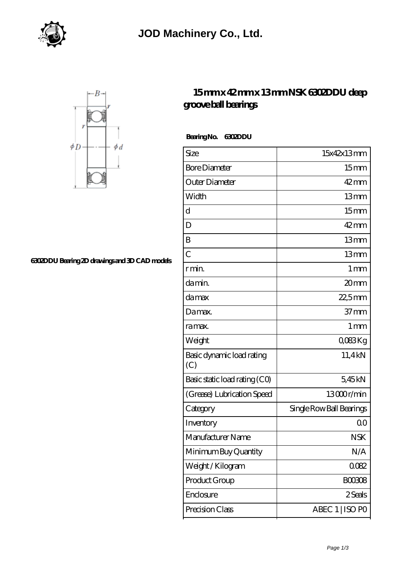



## **[6302DDU Bearing 2D drawings and 3D CAD models](https://m.virtual-solution.net/pic-65144975.html)**

## **[15 mm x 42 mm x 13 mm NSK 6302DDU deep](https://m.virtual-solution.net/nsk-6302ddu-bearing/) [groove ball bearings](https://m.virtual-solution.net/nsk-6302ddu-bearing/)**

 **Bearing No. 6302DDU**

| Size                             | 15x42x13mm               |
|----------------------------------|--------------------------|
| <b>Bore Diameter</b>             | 15 <sub>mm</sub>         |
| Outer Diameter                   | $42$ mm                  |
| Width                            | 13mm                     |
| $\mathbf d$                      | 15 <sub>mm</sub>         |
| D                                | $42 \text{mm}$           |
| B                                | 13mm                     |
| $\overline{C}$                   | 13mm                     |
| r min.                           | 1 <sub>mm</sub>          |
| damin.                           | 20mm                     |
| damax                            | 22,5mm                   |
| Damax.                           | $37 \text{mm}$           |
| ra max.                          | $1 \,\mathrm{mm}$        |
| Weight                           | QO83Kg                   |
| Basic dynamic load rating<br>(C) | 11,4kN                   |
| Basic static load rating (CO)    | 5,45kN                   |
| (Grease) Lubrication Speed       | 13000r/min               |
| Category                         | Single Row Ball Bearings |
| Inventory                        | Q0                       |
| Manufacturer Name                | <b>NSK</b>               |
| Minimum Buy Quantity             | N/A                      |
| Weight/Kilogram                  | 0082                     |
| Product Group                    | <b>BOO308</b>            |
| Enclosure                        | 2 Seals                  |
| Precision Class                  | ABEC 1   ISO PO          |
|                                  |                          |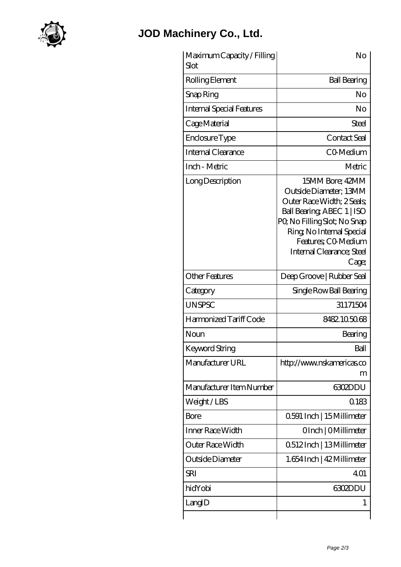

## **[JOD Machinery Co., Ltd.](https://m.virtual-solution.net)**

| Maximum Capacity / Filling<br>Slot | No                                                                                                                                                                                                                             |
|------------------------------------|--------------------------------------------------------------------------------------------------------------------------------------------------------------------------------------------------------------------------------|
| Rolling Element                    | <b>Ball Bearing</b>                                                                                                                                                                                                            |
| Snap Ring                          | No                                                                                                                                                                                                                             |
| <b>Internal Special Features</b>   | No                                                                                                                                                                                                                             |
| Cage Material                      | Steel                                                                                                                                                                                                                          |
| Enclosure Type                     | <b>Contact Seal</b>                                                                                                                                                                                                            |
| Internal Clearance                 | CO-Medium                                                                                                                                                                                                                      |
| Inch - Metric                      | Metric                                                                                                                                                                                                                         |
| Long Description                   | 15MM Bore; 42MM<br>Outside Diameter; 13MM<br>Outer Race Width; 2 Seals;<br>Ball Bearing, ABEC 1   ISO<br>PQ No Filling Slot; No Snap<br>Ring, No Internal Special<br>Features; CO Medium<br>Internal Clearance; Steel<br>Cage; |
| <b>Other Features</b>              | Deep Groove   Rubber Seal                                                                                                                                                                                                      |
| Category                           | Single Row Ball Bearing                                                                                                                                                                                                        |
| <b>UNSPSC</b>                      | 31171504                                                                                                                                                                                                                       |
| Harmonized Tariff Code             | 8482105068                                                                                                                                                                                                                     |
| Noun                               | Bearing                                                                                                                                                                                                                        |
| Keyword String                     | Ball                                                                                                                                                                                                                           |
| Manufacturer URL                   | http://www.nskamericas.co<br>m                                                                                                                                                                                                 |
| Manufacturer Item Number           | <b>6302DDU</b>                                                                                                                                                                                                                 |
| Weight / LBS                       | 0.183                                                                                                                                                                                                                          |
| <b>Bore</b>                        | 0.591 Inch   15 Millimeter                                                                                                                                                                                                     |
| Inner Race Width                   | OInch   OMillimeter                                                                                                                                                                                                            |
| Outer Race Width                   | 0512Inch   13Millimeter                                                                                                                                                                                                        |
| Outside Diameter                   | 1.654 Inch   42 Millimeter                                                                                                                                                                                                     |
| <b>SRI</b>                         | 401                                                                                                                                                                                                                            |
| hidYobi                            | <b>6302DDU</b>                                                                                                                                                                                                                 |
| LangID                             | $\mathbf{I}$                                                                                                                                                                                                                   |
|                                    |                                                                                                                                                                                                                                |